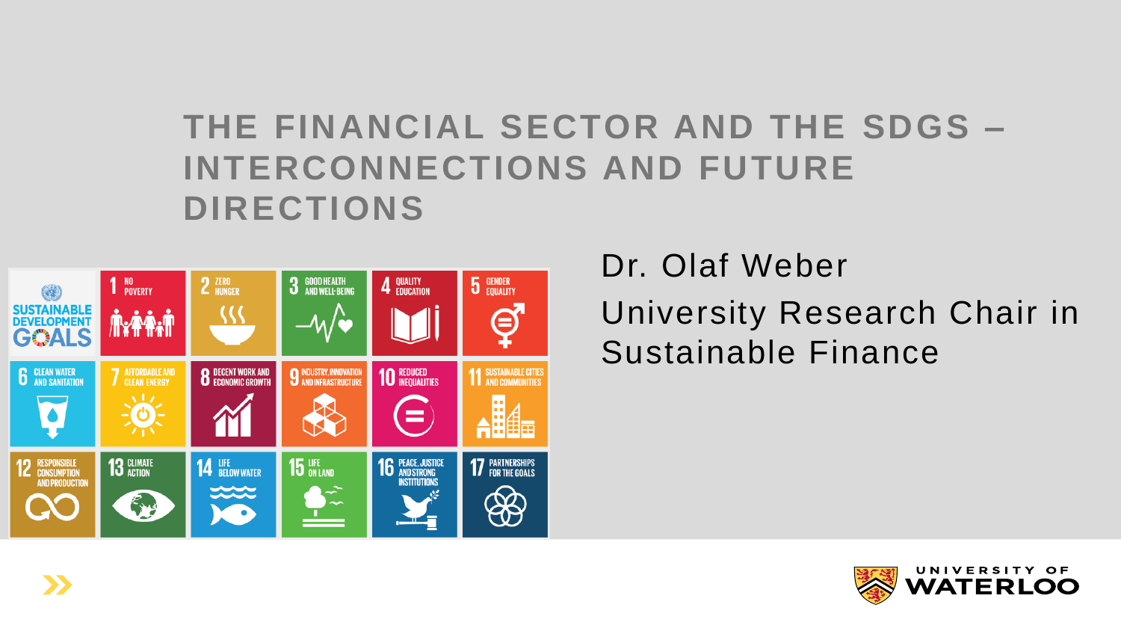#### **THE FINANCIAL SECTOR AND THE SDGS – INTERCONNECTIONS AND FUTURE DIRECTIONS**



Dr. Olaf Weber

University Research Chair in Sustainable Finance

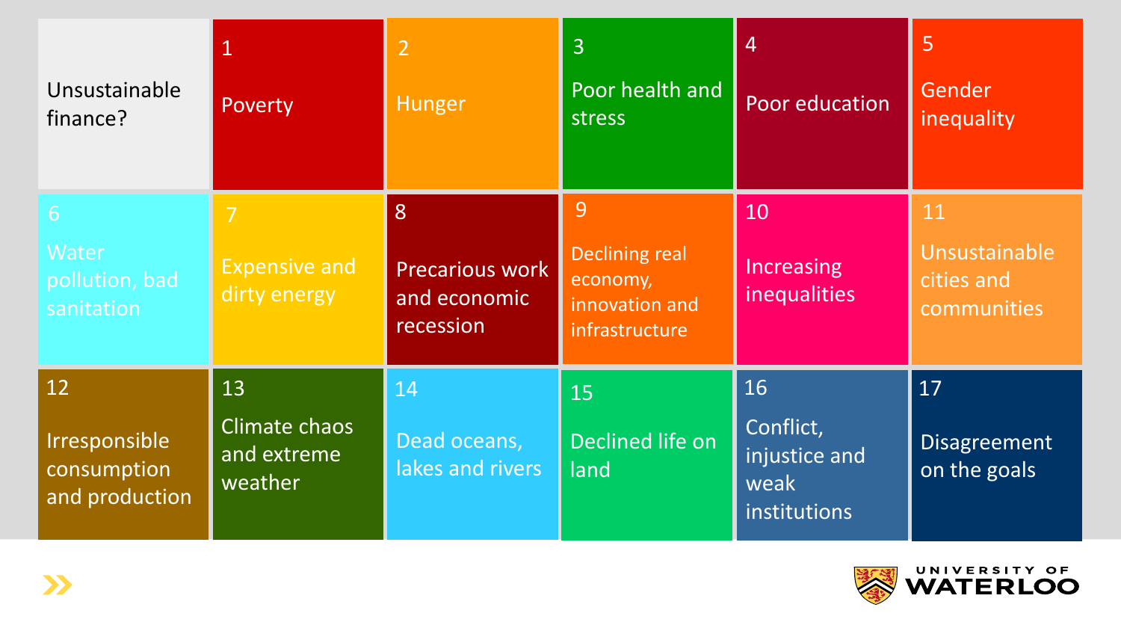| Unsustainable<br>finance?                            | Poverty                                       | $\overline{2}$<br>Hunger                          | $\overline{3}$<br>Poor health and<br>stress                                | $\overline{4}$<br>Poor education                         | 5<br>Gender<br>inequality                        |
|------------------------------------------------------|-----------------------------------------------|---------------------------------------------------|----------------------------------------------------------------------------|----------------------------------------------------------|--------------------------------------------------|
| 6<br>Water<br>pollution, bad<br>sanitation           | 7<br><b>Expensive and</b><br>dirty energy     | 8<br>Precarious work<br>and economic<br>recession | 9<br><b>Declining real</b><br>economy,<br>innovation and<br>infrastructure | 10<br>Increasing<br>inequalities                         | 11<br>Unsustainable<br>cities and<br>communities |
| 12<br>Irresponsible<br>consumption<br>and production | 13<br>Climate chaos<br>and extreme<br>weather | 14<br>Dead oceans,<br>lakes and rivers            | 15<br>Declined life on<br>land                                             | 16<br>Conflict,<br>injustice and<br>weak<br>institutions | 17<br>Disagreement<br>on the goals               |

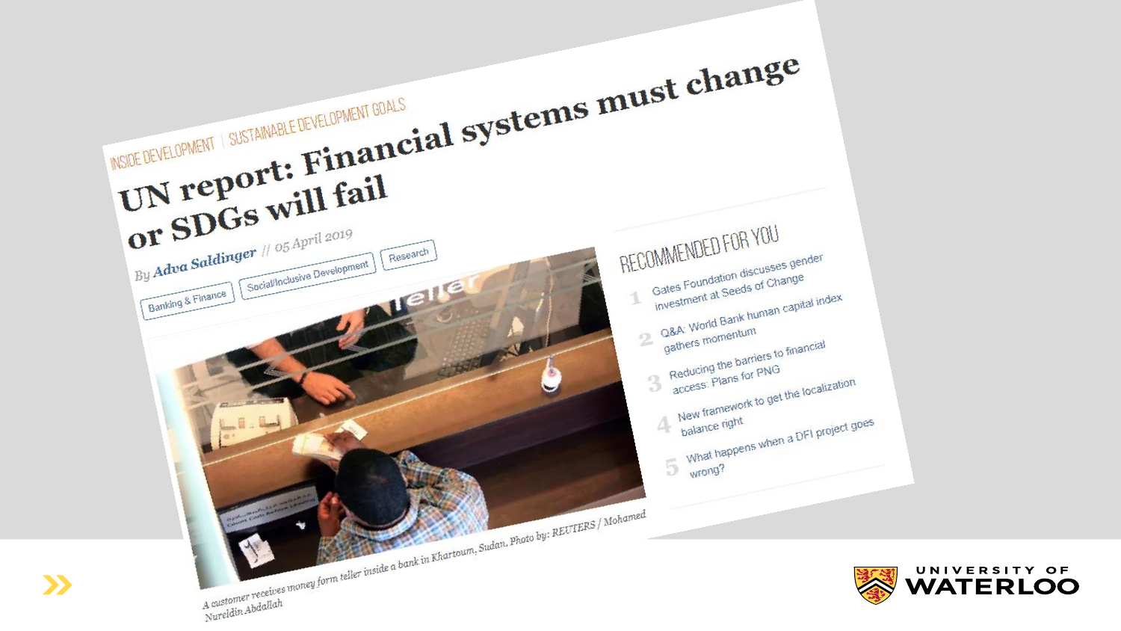



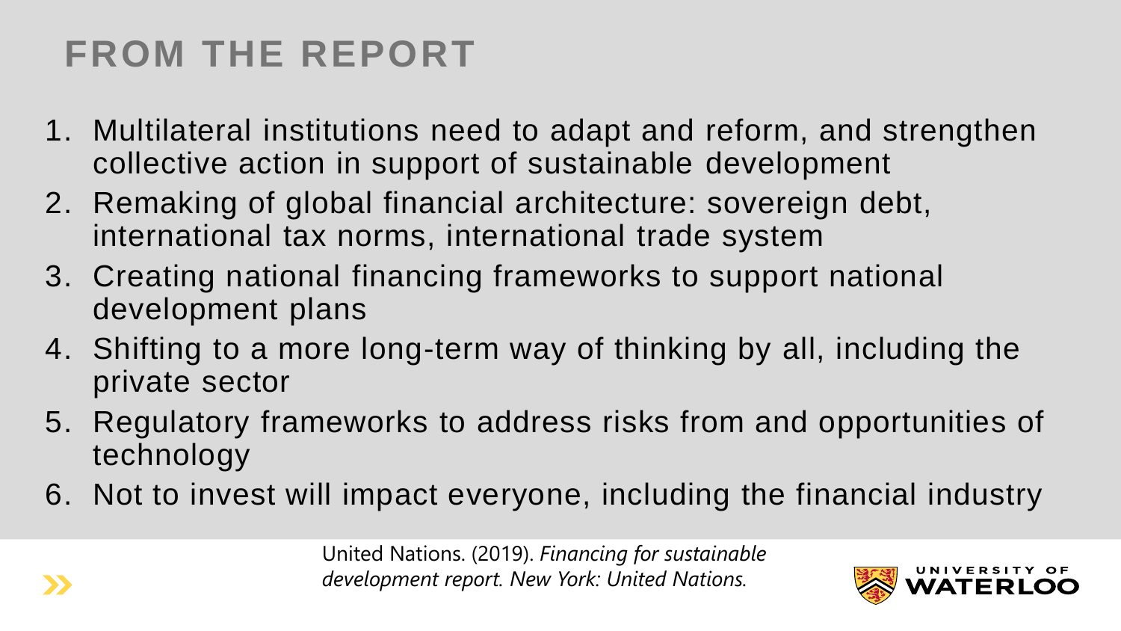## **FROM THE REPORT**

- 1. Multilateral institutions need to adapt and reform, and strengthen collective action in support of sustainable development
- 2. Remaking of global financial architecture: sovereign debt, international tax norms, international trade system
- 3. Creating national financing frameworks to support national development plans
- 4. Shifting to a more long-term way of thinking by all, including the private sector
- 5. Regulatory frameworks to address risks from and opportunities of technology
- 6. Not to invest will impact everyone, including the financial industry

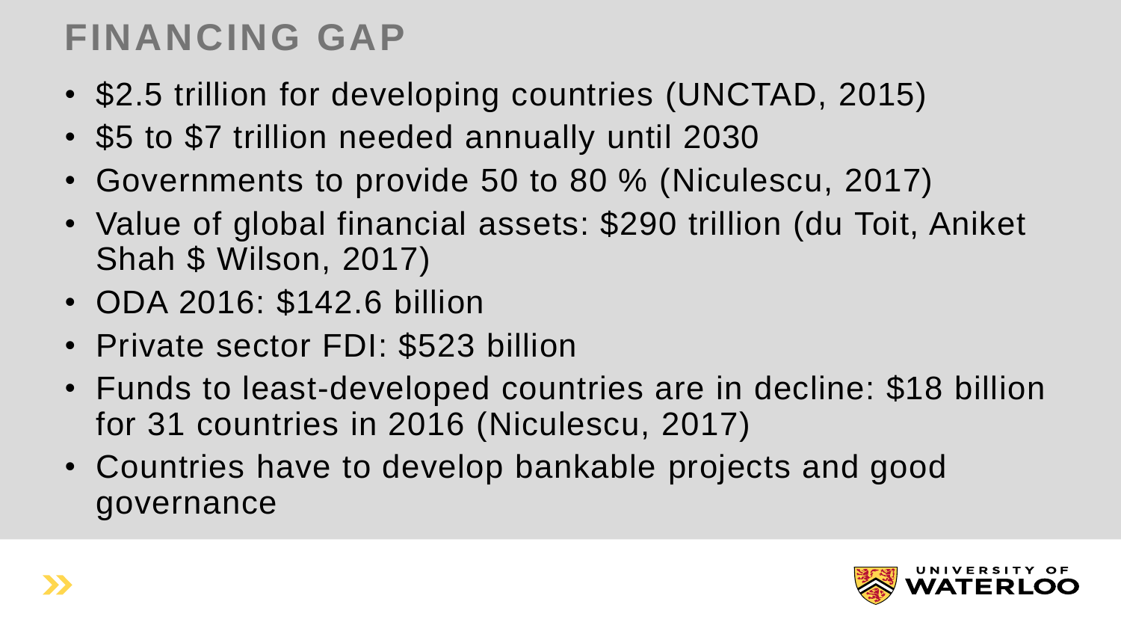#### **FINANCING GAP**

- \$2.5 trillion for developing countries (UNCTAD, 2015)
- \$5 to \$7 trillion needed annually until 2030
- Governments to provide 50 to 80 % (Niculescu, 2017)
- Value of global financial assets: \$290 trillion (du Toit, Aniket Shah \$ Wilson, 2017)
- ODA 2016: \$142.6 billion
- Private sector FDI: \$523 billion
- Funds to least-developed countries are in decline: \$18 billion for 31 countries in 2016 (Niculescu, 2017)
- Countries have to develop bankable projects and good governance

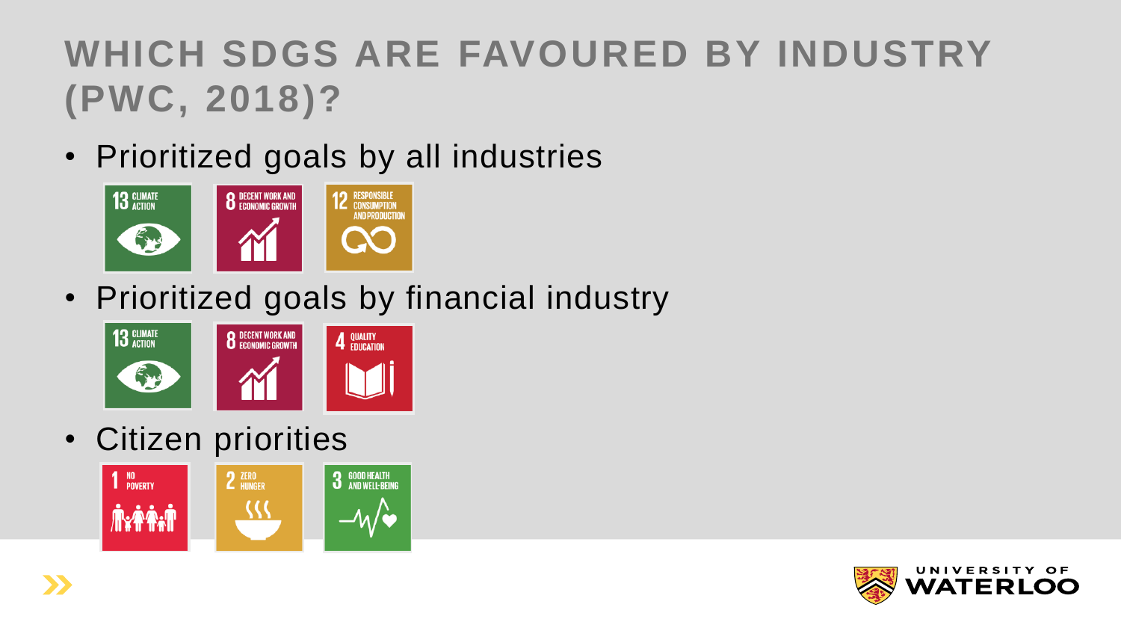## **WHICH SDGS ARE FAVOURED BY INDUSTRY (PWC, 2018)?**

• Prioritized goals by all industries



• Prioritized goals by financial industry



• Citizen priorities



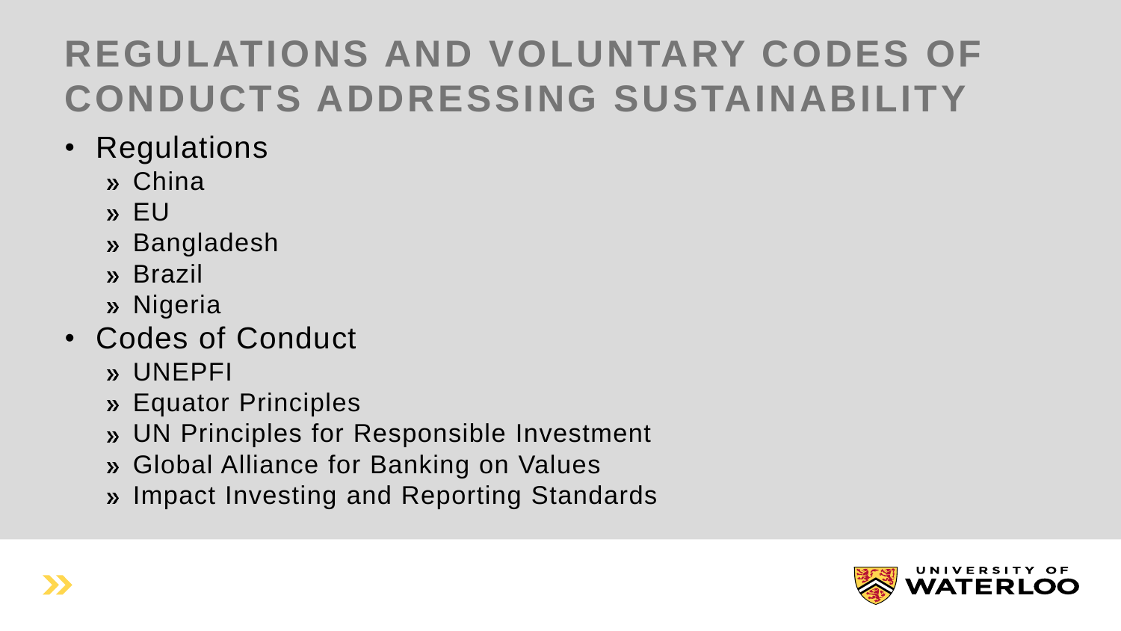## **REGULATIONS AND VOLUNTARY CODES OF CONDUCTS ADDRESSING SUSTAINABILITY**

- Regulations
	- China
	- $v$  EU
	- » Bangladesh
	- » Brazil
	- » Nigeria
- Codes of Conduct
	- UNEPFI
	- Equator Principles
	- UN Principles for Responsible Investment
	- Global Alliance for Banking on Values
	- » Impact Investing and Reporting Standards

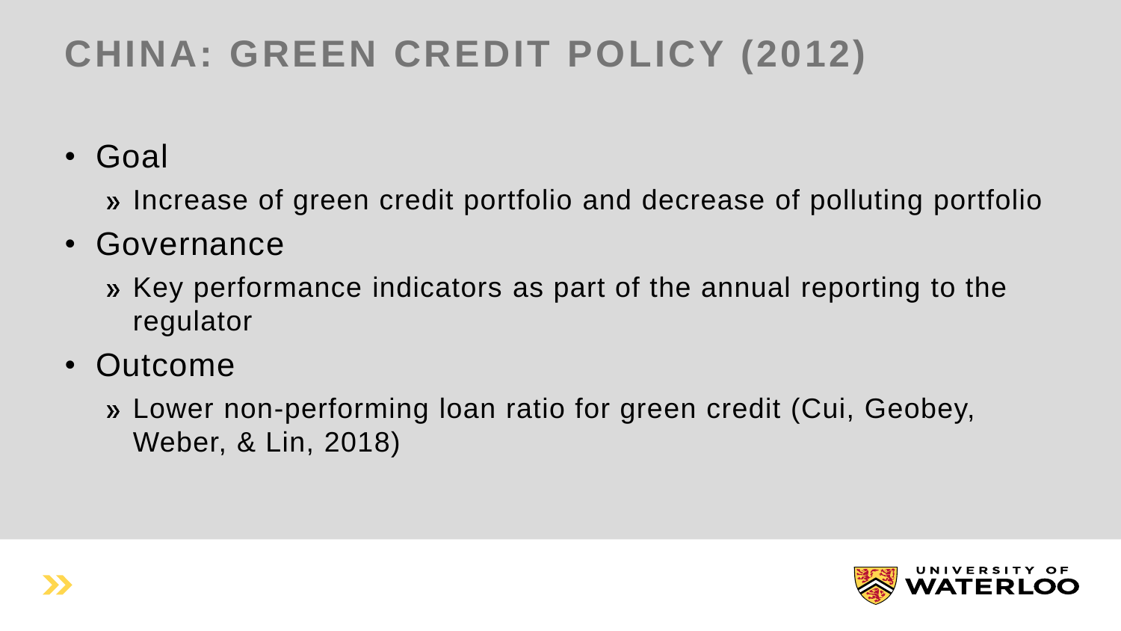# **CHINA: GREEN CREDIT POLICY (2012)**

• Goal

Increase of green credit portfolio and decrease of polluting portfolio

#### • Governance

- Key performance indicators as part of the annual reporting to the regulator
- Outcome

Lower non-performing loan ratio for green credit (Cui, Geobey, Weber, & Lin, 2018)

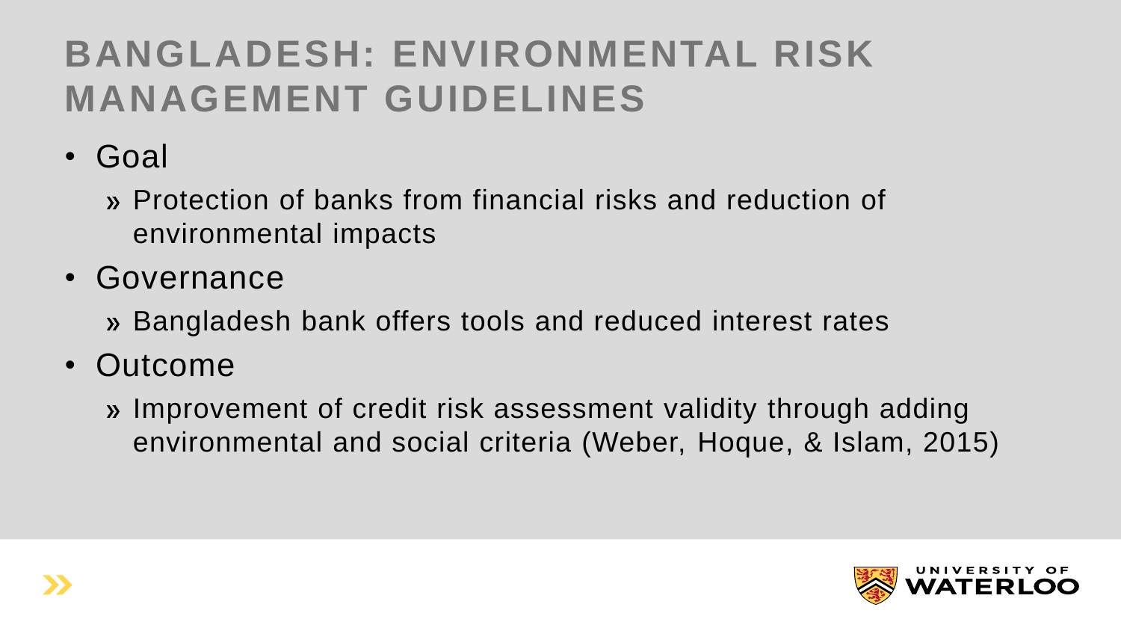## **BANGLADESH: ENVIRONMENTAL RISK MANAGEMENT GUIDELINES**

• Goal

Protection of banks from financial risks and reduction of environmental impacts

- Governance
	- » Bangladesh bank offers tools and reduced interest rates
- Outcome
	- » Improvement of credit risk assessment validity through adding environmental and social criteria (Weber, Hoque, & Islam, 2015)

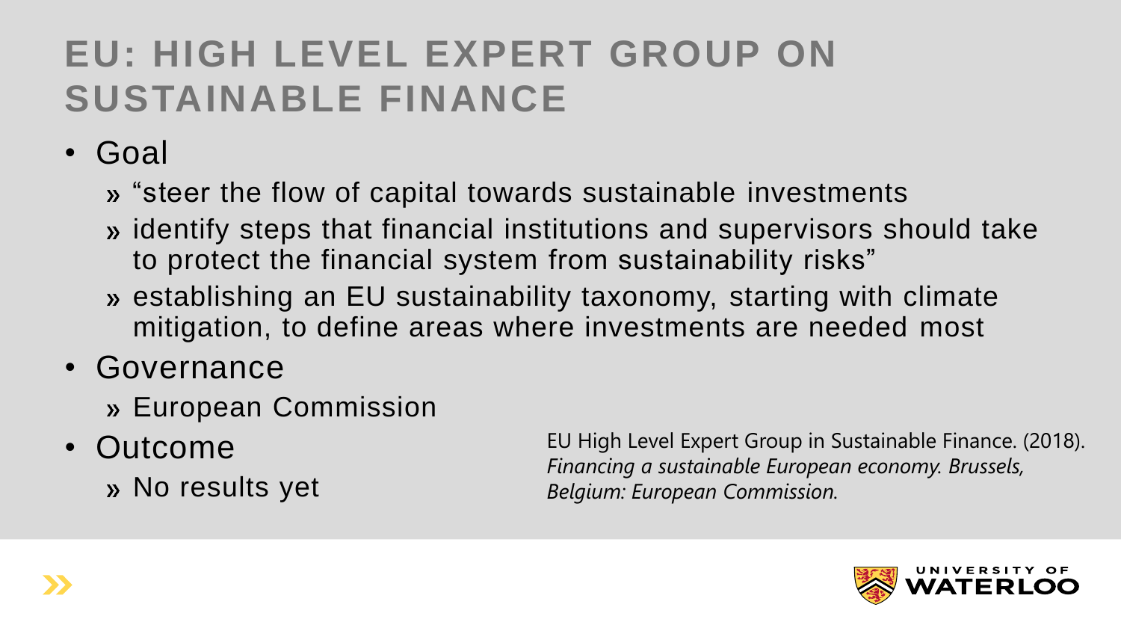#### **EU: HIGH LEVEL EXPERT GROUP ON SUSTAINABLE FINANCE**

- Goal
	- » "steer the flow of capital towards sustainable investments
	- » identify steps that financial institutions and supervisors should take to protect the financial system from sustainability risks"
	- establishing an EU sustainability taxonomy, starting with climate mitigation, to define areas where investments are needed most
- Governance
	- » European Commission
- Outcome
	- » No results yet

EU High Level Expert Group in Sustainable Finance. (2018). *Financing a sustainable European economy. Brussels, Belgium: European Commission.*

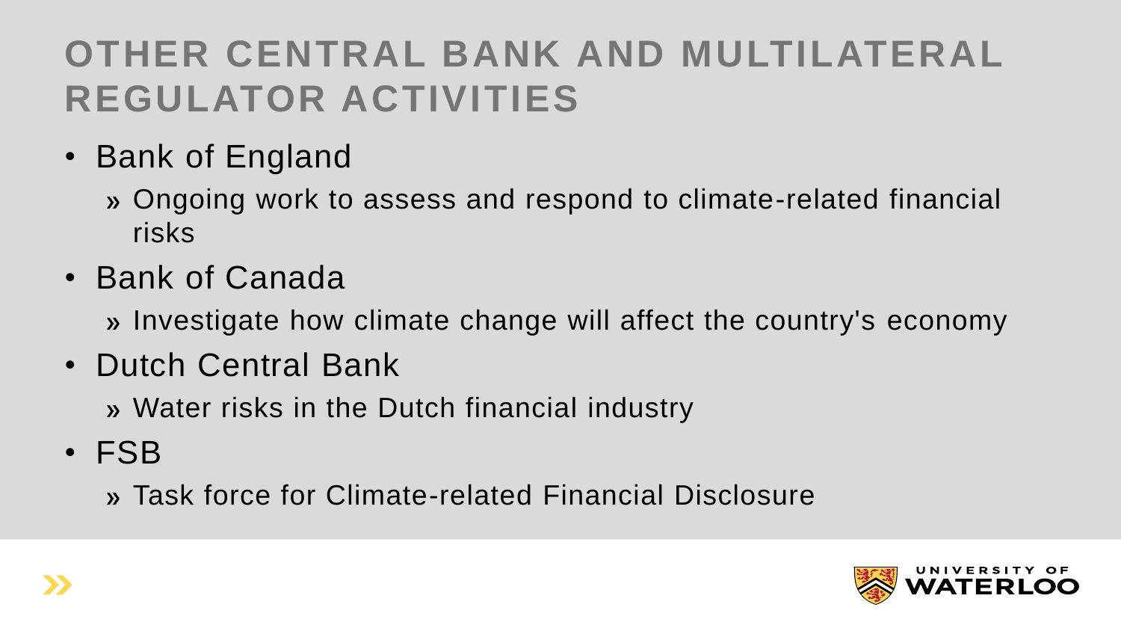#### **OTHER CENTRAL BANK AND MULTILATERAL REGULATOR ACTIVITIES**

- Bank of England
	- Ongoing work to assess and respond to climate-related financial risks
- Bank of Canada

» Investigate how climate change will affect the country's economy

• Dutch Central Bank

Water risks in the Dutch financial industry

• FSB

Task force for Climate-related Financial Disclosure

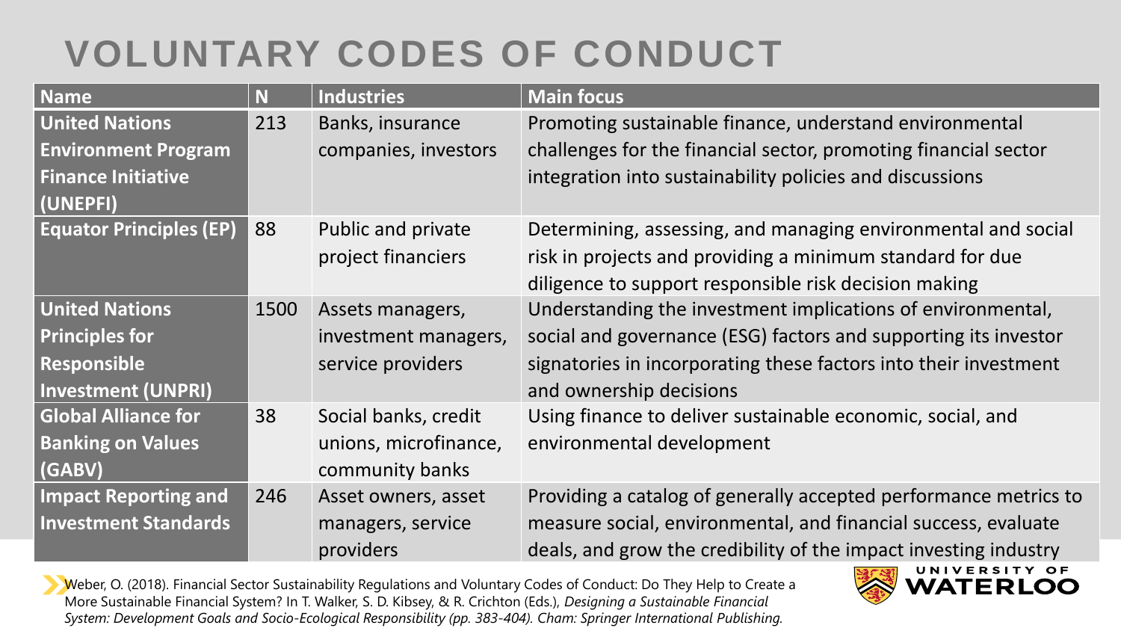#### **VOLUNTARY CODES OF CONDUCT**

| <b>Name</b>                    | N    | <b>Industries</b>     | <b>Main focus</b>                                                |
|--------------------------------|------|-----------------------|------------------------------------------------------------------|
| <b>United Nations</b>          | 213  | Banks, insurance      | Promoting sustainable finance, understand environmental          |
| <b>Environment Program</b>     |      | companies, investors  | challenges for the financial sector, promoting financial sector  |
| <b>Finance Initiative</b>      |      |                       | integration into sustainability policies and discussions         |
| (UNEPFI)                       |      |                       |                                                                  |
| <b>Equator Principles (EP)</b> | 88   | Public and private    | Determining, assessing, and managing environmental and social    |
|                                |      | project financiers    | risk in projects and providing a minimum standard for due        |
|                                |      |                       | diligence to support responsible risk decision making            |
| <b>United Nations</b>          | 1500 | Assets managers,      | Understanding the investment implications of environmental,      |
| <b>Principles for</b>          |      | investment managers,  | social and governance (ESG) factors and supporting its investor  |
| Responsible                    |      | service providers     | signatories in incorporating these factors into their investment |
| <b>Investment (UNPRI)</b>      |      |                       | and ownership decisions                                          |
| <b>Global Alliance for</b>     | 38   | Social banks, credit  | Using finance to deliver sustainable economic, social, and       |
| <b>Banking on Values</b>       |      | unions, microfinance, | environmental development                                        |
| (GABV)                         |      | community banks       |                                                                  |
| <b>Impact Reporting and</b>    | 246  | Asset owners, asset   | Providing a catalog of generally accepted performance metrics to |
| <b>Investment Standards</b>    |      | managers, service     | measure social, environmental, and financial success, evaluate   |
|                                |      | providers             | deals, and grow the credibility of the impact investing industry |

Weber, O. (2018). Financial Sector Sustainability Regulations and Voluntary Codes of Conduct: Do They Help to Create a More Sustainable Financial System? In T. Walker, S. D. Kibsey, & R. Crichton (Eds.), *Designing a Sustainable Financial System: Development Goals and Socio-Ecological Responsibility (pp. 383-404). Cham: Springer International Publishing.*

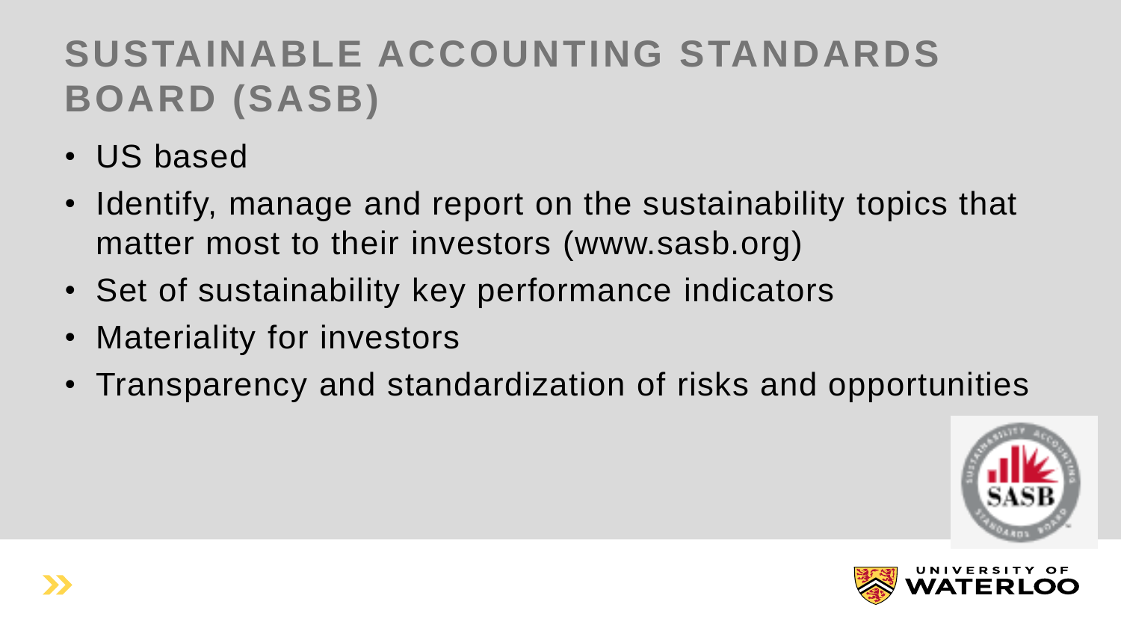## **SUSTAINABLE ACCOUNTING STANDARDS BOARD (SASB)**

- US based
- Identify, manage and report on the sustainability topics that matter most to their investors (www.sasb.org)
- Set of sustainability key performance indicators
- Materiality for investors
- Transparency and standardization of risks and opportunities



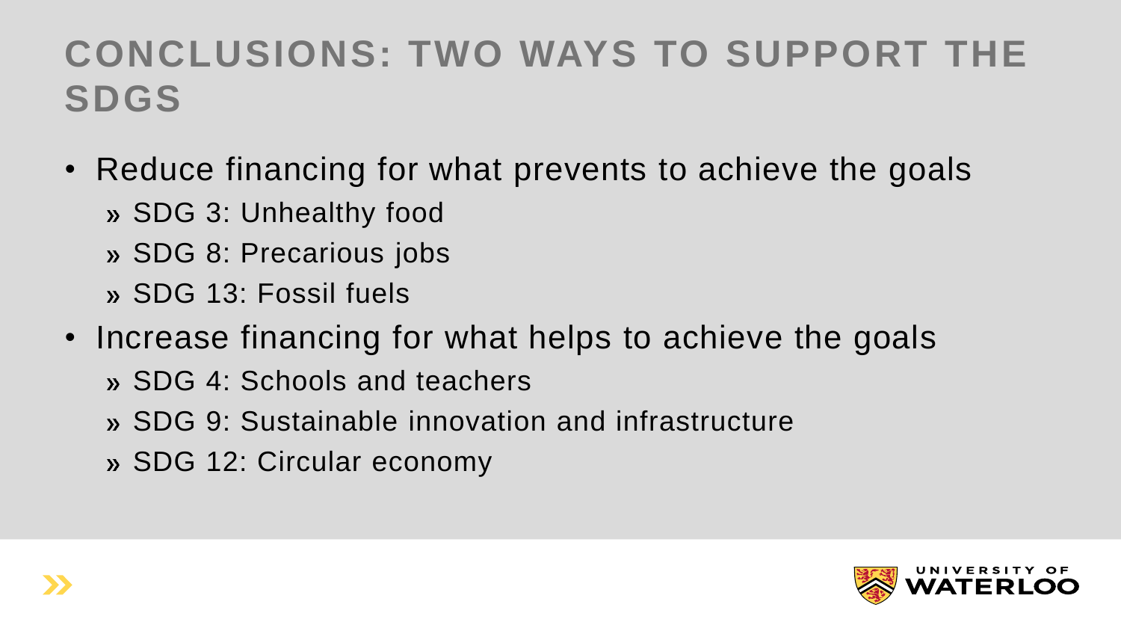#### **CONCLUSIONS: TWO WAYS TO SUPPORT THE SDGS**

- Reduce financing for what prevents to achieve the goals
	- SDG 3: Unhealthy food
	- » SDG 8: Precarious jobs
	- SDG 13: Fossil fuels
- Increase financing for what helps to achieve the goals
	- » SDG 4: Schools and teachers
	- SDG 9: Sustainable innovation and infrastructure
	- » SDG 12: Circular economy

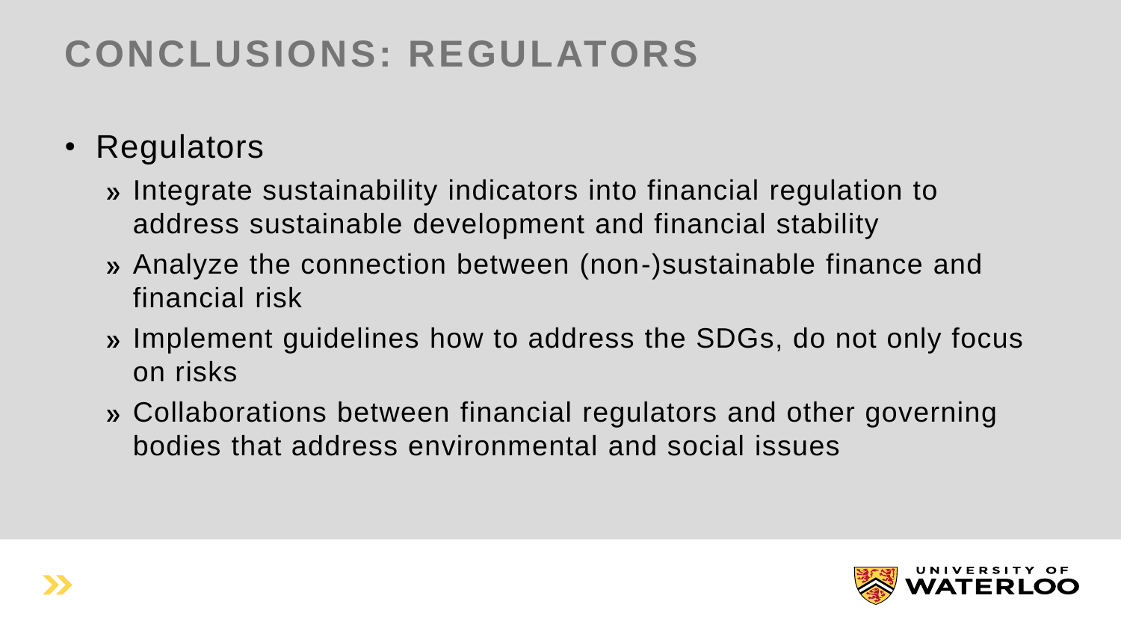#### **CONCLUSIONS: REGULATORS**

- Regulators
	- Integrate sustainability indicators into financial regulation to address sustainable development and financial stability
	- Analyze the connection between (non-)sustainable finance and financial risk
	- Implement guidelines how to address the SDGs, do not only focus on risks
	- Collaborations between financial regulators and other governing bodies that address environmental and social issues

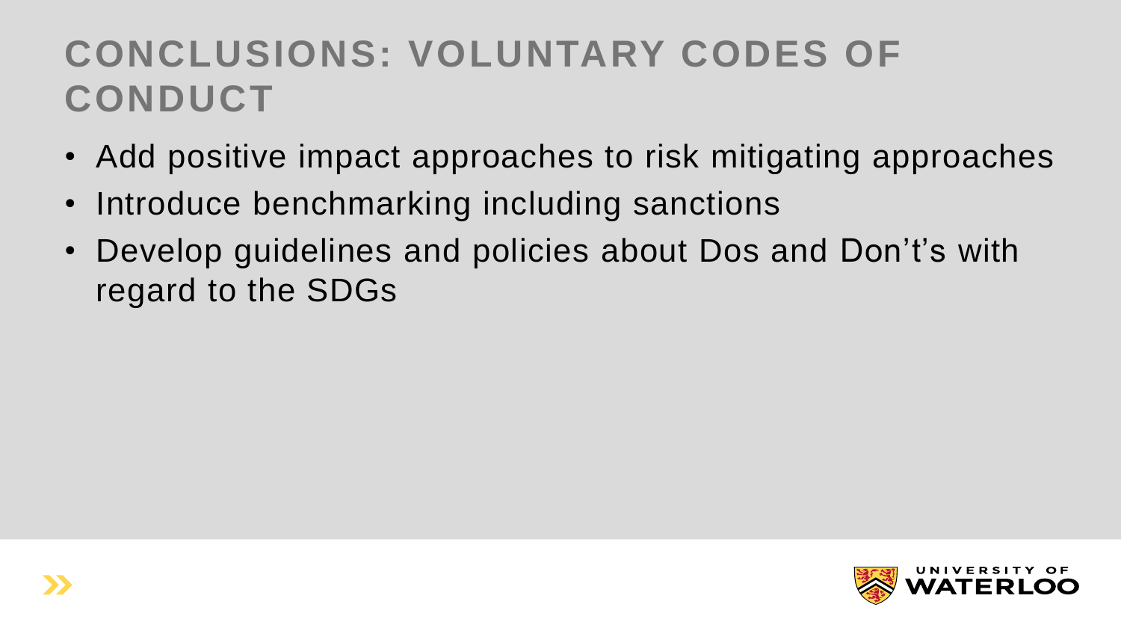#### **CONCLUSIONS: VOLUNTARY CODES OF CONDUCT**

- Add positive impact approaches to risk mitigating approaches
- Introduce benchmarking including sanctions
- Develop guidelines and policies about Dos and Don't's with regard to the SDGs

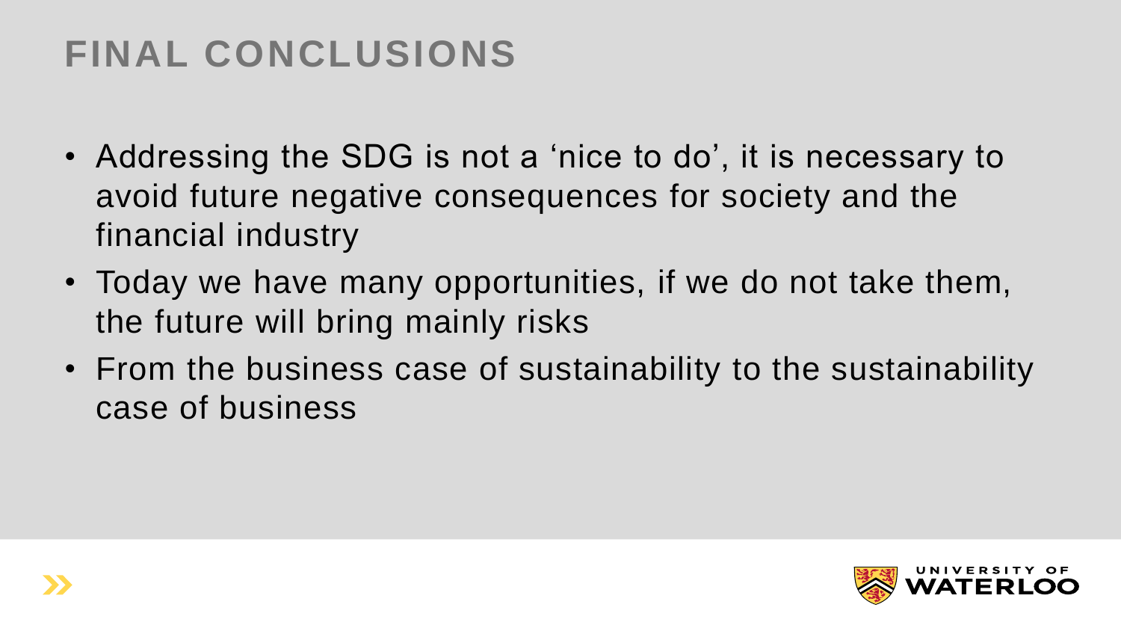## **FINAL CONCLUSIONS**

- Addressing the SDG is not a 'nice to do', it is necessary to avoid future negative consequences for society and the financial industry
- Today we have many opportunities, if we do not take them, the future will bring mainly risks
- From the business case of sustainability to the sustainability case of business

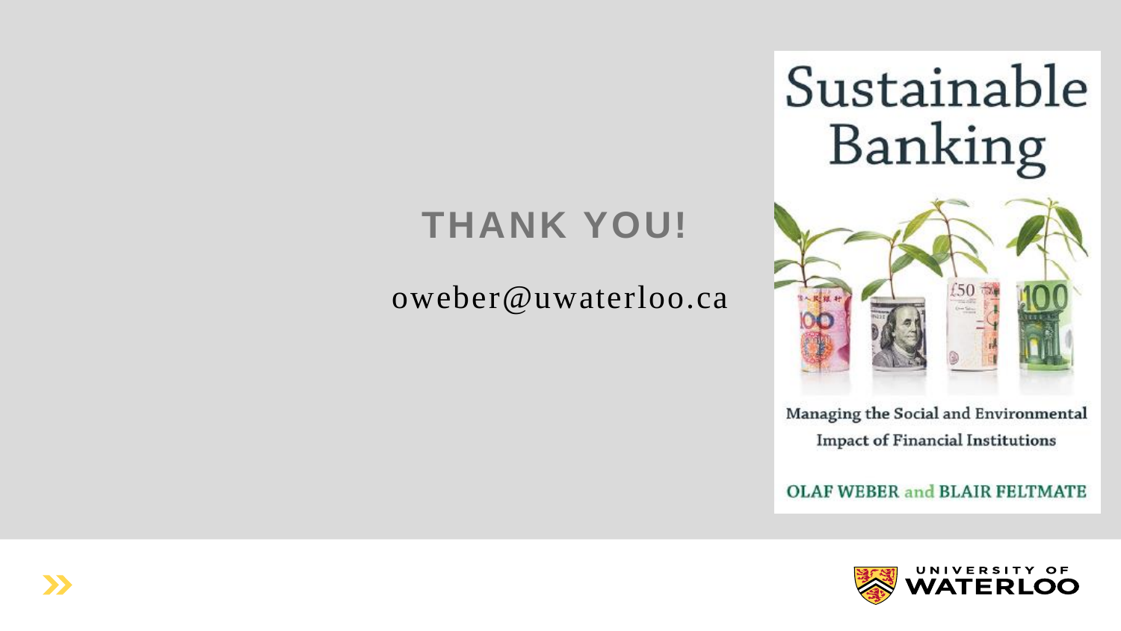

#### **THANK YOU!**

#### oweber@uwaterloo.ca

Managing the Social and Environmental **Impact of Financial Institutions** 

**OLAF WEBER and BLAIR FELTMATE** 

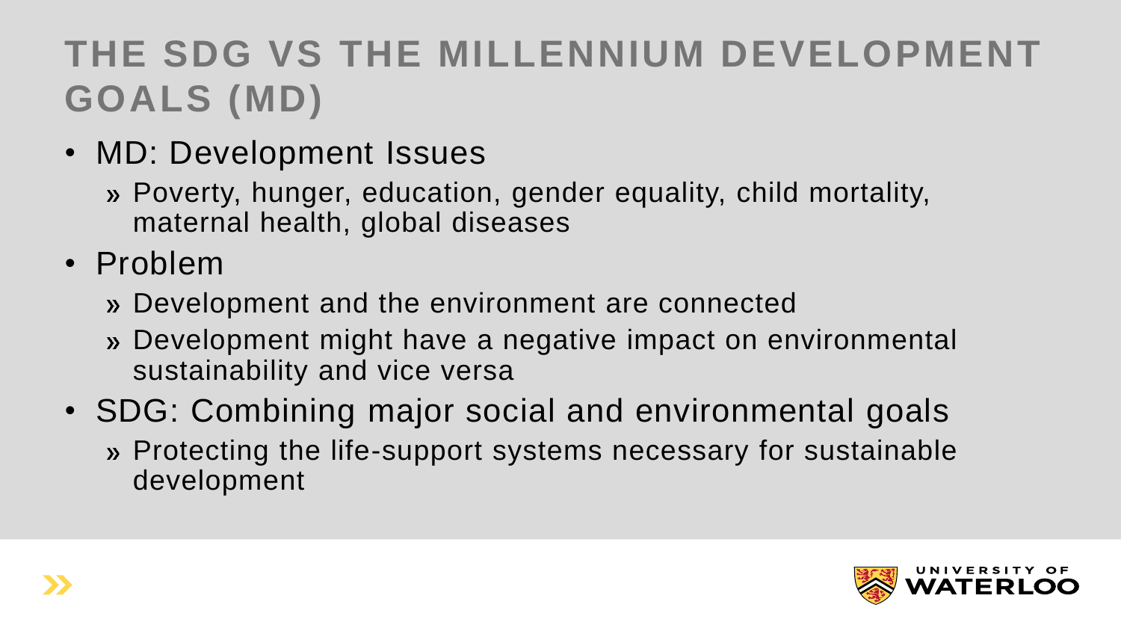## **THE SDG VS THE MILLENNIUM DEVELOPMENT GOALS (MD)**

- MD: Development Issues
	- Poverty, hunger, education, gender equality, child mortality, maternal health, global diseases
- Problem
	- Development and the environment are connected
	- » Development might have a negative impact on environmental sustainability and vice versa
- SDG: Combining major social and environmental goals » Protecting the life-support systems necessary for sustainable development

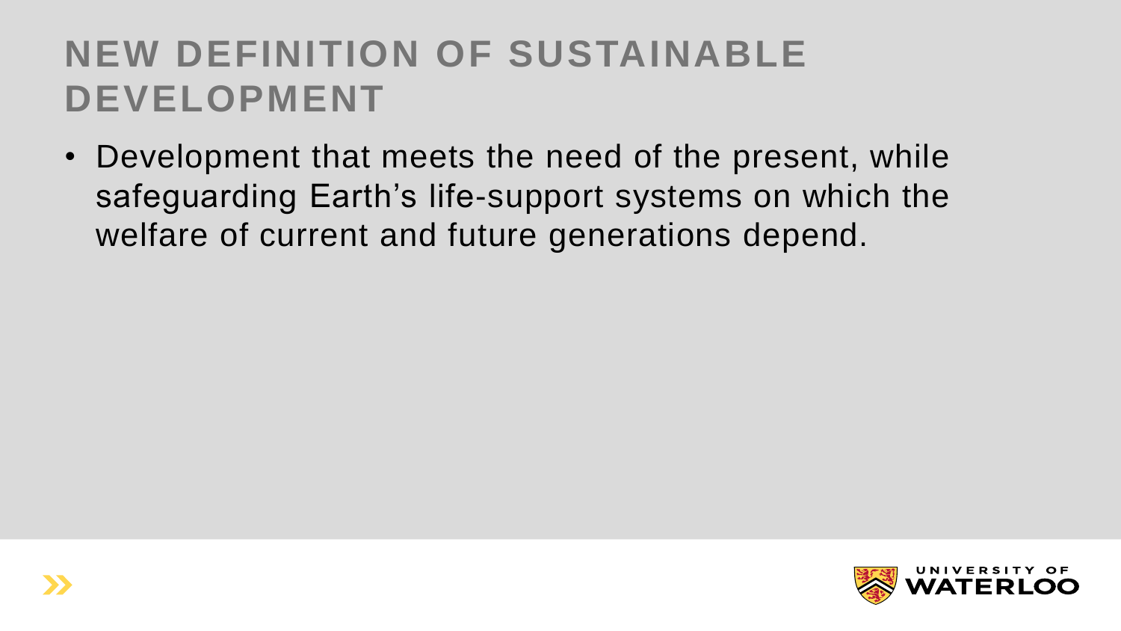#### **NEW DEFINITION OF SUSTAINABLE DEVELOPMENT**

• Development that meets the need of the present, while safeguarding Earth's life-support systems on which the welfare of current and future generations depend.